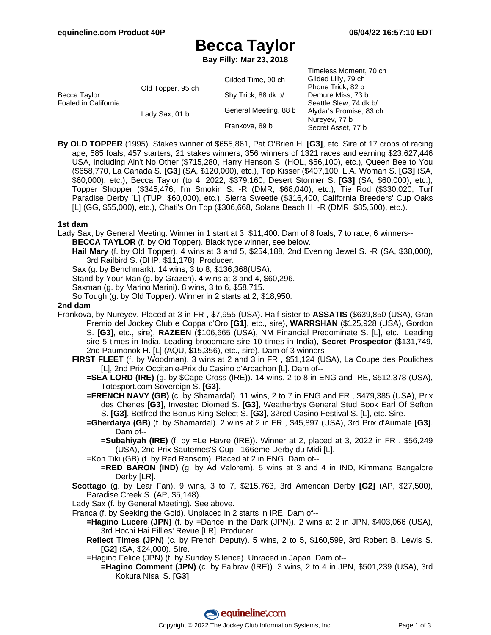# **Becca Taylor**

**Bay Filly; Mar 23, 2018**

|                                      |                   |                       | Timeless Moment, 70 ch  |
|--------------------------------------|-------------------|-----------------------|-------------------------|
| Becca Taylor<br>Foaled in California | Old Topper, 95 ch | Gilded Time, 90 ch    | Gilded Lilly, 79 ch     |
|                                      |                   |                       | Phone Trick, 82 b       |
|                                      |                   | Shy Trick, 88 dk b/   | Demure Miss, 73 b       |
|                                      |                   |                       | Seattle Slew, 74 dk b/  |
|                                      | Lady Sax, 01 b    | General Meeting, 88 b | Alydar's Promise, 83 ch |
|                                      |                   | Frankova, 89 b        | Nureyev, 77 b           |
|                                      |                   |                       | Secret Asset, 77 b      |

**By OLD TOPPER** (1995). Stakes winner of \$655,861, Pat O'Brien H. **[G3]**, etc. Sire of 17 crops of racing age, 585 foals, 457 starters, 21 stakes winners, 356 winners of 1321 races and earning \$23,627,446 USA, including Ain't No Other (\$715,280, Harry Henson S. (HOL, \$56,100), etc.), Queen Bee to You (\$658,770, La Canada S. **[G3]** (SA, \$120,000), etc.), Top Kisser (\$407,100, L.A. Woman S. **[G3]** (SA, \$60,000), etc.), Becca Taylor (to 4, 2022, \$379,160, Desert Stormer S. **[G3]** (SA, \$60,000), etc.), Topper Shopper (\$345,476, I'm Smokin S. -R (DMR, \$68,040), etc.), Tie Rod (\$330,020, Turf Paradise Derby [L] (TUP, \$60,000), etc.), Sierra Sweetie (\$316,400, California Breeders' Cup Oaks [L] (GG, \$55,000), etc.), Chati's On Top (\$306,668, Solana Beach H. -R (DMR, \$85,500), etc.).

### **1st dam**

Lady Sax, by General Meeting. Winner in 1 start at 3, \$11,400. Dam of 8 foals, 7 to race, 6 winners--

- **BECCA TAYLOR** (f. by Old Topper). Black type winner, see below.
- **Hail Mary** (f. by Old Topper). 4 wins at 3 and 5, \$254,188, 2nd Evening Jewel S. -R (SA, \$38,000), 3rd Railbird S. (BHP, \$11,178). Producer.
- Sax (g. by Benchmark). 14 wins, 3 to 8, \$136,368(USA).
- Stand by Your Man (g. by Grazen). 4 wins at 3 and 4, \$60,296.
- Saxman (g. by Marino Marini). 8 wins, 3 to 6, \$58,715.
- So Tough (g. by Old Topper). Winner in 2 starts at 2, \$18,950.

### **2nd dam**

- Frankova, by Nureyev. Placed at 3 in FR , \$7,955 (USA). Half-sister to **ASSATIS** (\$639,850 (USA), Gran Premio del Jockey Club e Coppa d'Oro **[G1]**, etc., sire), **WARRSHAN** (\$125,928 (USA), Gordon S. **[G3]**, etc., sire), **RAZEEN** (\$106,665 (USA), NM Financial Predominate S. [L], etc., Leading sire 5 times in India, Leading broodmare sire 10 times in India), **Secret Prospector** (\$131,749, 2nd Paumonok H. [L] (AQU, \$15,356), etc., sire). Dam of 3 winners--
	- **FIRST FLEET** (f. by Woodman). 3 wins at 2 and 3 in FR , \$51,124 (USA), La Coupe des Pouliches [L], 2nd Prix Occitanie-Prix du Casino d'Arcachon [L]. Dam of--
		- **=SEA LORD (IRE)** (g. by \$Cape Cross (IRE)). 14 wins, 2 to 8 in ENG and IRE, \$512,378 (USA), Totesport.com Sovereign S. **[G3]**.
		- **=FRENCH NAVY (GB)** (c. by Shamardal). 11 wins, 2 to 7 in ENG and FR , \$479,385 (USA), Prix des Chenes **[G3]**, Investec Diomed S. **[G3]**, Weatherbys General Stud Book Earl Of Sefton S. **[G3]**, Betfred the Bonus King Select S. **[G3]**, 32red Casino Festival S. [L], etc. Sire.
		- **=Gherdaiya (GB)** (f. by Shamardal). 2 wins at 2 in FR , \$45,897 (USA), 3rd Prix d'Aumale **[G3]**. Dam of--
			- **=Subahiyah (IRE)** (f. by =Le Havre (IRE)). Winner at 2, placed at 3, 2022 in FR , \$56,249 (USA), 2nd Prix Sauternes'S Cup - 166eme Derby du Midi [L].
		- =Kon Tiki (GB) (f. by Red Ransom). Placed at 2 in ENG. Dam of--
			- **=RED BARON (IND)** (g. by Ad Valorem). 5 wins at 3 and 4 in IND, Kimmane Bangalore Derby [LR].
	- **Scottago** (g. by Lear Fan). 9 wins, 3 to 7, \$215,763, 3rd American Derby **[G2]** (AP, \$27,500), Paradise Creek S. (AP, \$5,148).
	- Lady Sax (f. by General Meeting). See above.
	- Franca (f. by Seeking the Gold). Unplaced in 2 starts in IRE. Dam of--
		- **=Hagino Lucere (JPN)** (f. by =Dance in the Dark (JPN)). 2 wins at 2 in JPN, \$403,066 (USA), 3rd Hochi Hai Fillies' Revue [LR]. Producer.
		- **Reflect Times (JPN)** (c. by French Deputy). 5 wins, 2 to 5, \$160,599, 3rd Robert B. Lewis S. **[G2]** (SA, \$24,000). Sire.
		- =Hagino Felice (JPN) (f. by Sunday Silence). Unraced in Japan. Dam of--
			- **=Hagino Comment (JPN)** (c. by Falbrav (IRE)). 3 wins, 2 to 4 in JPN, \$501,239 (USA), 3rd Kokura Nisai S. **[G3]**.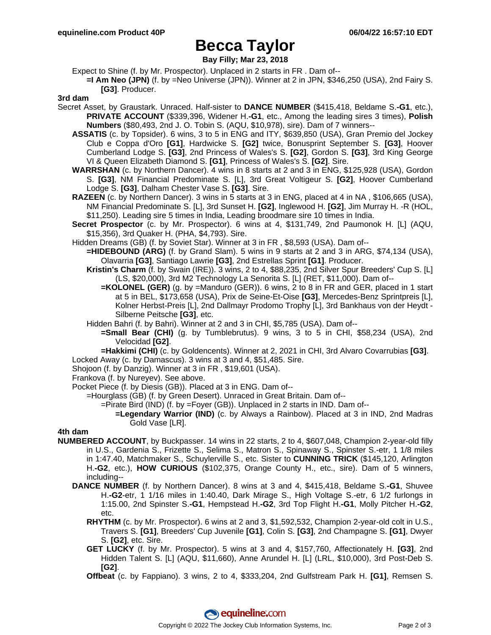# **Becca Taylor**

## **Bay Filly; Mar 23, 2018**

Expect to Shine (f. by Mr. Prospector). Unplaced in 2 starts in FR . Dam of--

**=I Am Neo (JPN)** (f. by =Neo Universe (JPN)). Winner at 2 in JPN, \$346,250 (USA), 2nd Fairy S. **[G3]**. Producer.

### **3rd dam**

- Secret Asset, by Graustark. Unraced. Half-sister to **DANCE NUMBER** (\$415,418, Beldame S.**-G1**, etc.), **PRIVATE ACCOUNT** (\$339,396, Widener H.**-G1**, etc., Among the leading sires 3 times), **Polish Numbers** (\$80,493, 2nd J. O. Tobin S. (AQU, \$10,978), sire). Dam of 7 winners--
	- **ASSATIS** (c. by Topsider). 6 wins, 3 to 5 in ENG and ITY, \$639,850 (USA), Gran Premio del Jockey Club e Coppa d'Oro **[G1]**, Hardwicke S. **[G2]** twice, Bonusprint September S. **[G3]**, Hoover Cumberland Lodge S. **[G3]**, 2nd Princess of Wales's S. **[G2]**, Gordon S. **[G3]**, 3rd King George VI & Queen Elizabeth Diamond S. **[G1]**, Princess of Wales's S. **[G2]**. Sire.
	- **WARRSHAN** (c. by Northern Dancer). 4 wins in 8 starts at 2 and 3 in ENG, \$125,928 (USA), Gordon S. **[G3]**, NM Financial Predominate S. [L], 3rd Great Voltigeur S. **[G2]**, Hoover Cumberland Lodge S. **[G3]**, Dalham Chester Vase S. **[G3]**. Sire.
	- **RAZEEN** (c. by Northern Dancer). 3 wins in 5 starts at 3 in ENG, placed at 4 in NA , \$106,665 (USA), NM Financial Predominate S. [L], 3rd Sunset H. **[G2]**, Inglewood H. **[G2]**, Jim Murray H. -R (HOL, \$11,250). Leading sire 5 times in India, Leading broodmare sire 10 times in India.
	- **Secret Prospector** (c. by Mr. Prospector). 6 wins at 4, \$131,749, 2nd Paumonok H. [L] (AQU, \$15,356), 3rd Quaker H. (PHA, \$4,793). Sire.
	- Hidden Dreams (GB) (f. by Soviet Star). Winner at 3 in FR , \$8,593 (USA). Dam of--
		- **=HIDEBOUND (ARG)** (f. by Grand Slam). 5 wins in 9 starts at 2 and 3 in ARG, \$74,134 (USA), Olavarria **[G3]**, Santiago Lawrie **[G3]**, 2nd Estrellas Sprint **[G1]**. Producer.
		- **Kristin's Charm** (f. by Swain (IRE)). 3 wins, 2 to 4, \$88,235, 2nd Silver Spur Breeders' Cup S. [L] (LS, \$20,000), 3rd M2 Technology La Senorita S. [L] (RET, \$11,000). Dam of--
			- **=KOLONEL (GER)** (g. by =Manduro (GER)). 6 wins, 2 to 8 in FR and GER, placed in 1 start at 5 in BEL, \$173,658 (USA), Prix de Seine-Et-Oise **[G3]**, Mercedes-Benz Sprintpreis [L], Kolner Herbst-Preis [L], 2nd Dallmayr Prodomo Trophy [L], 3rd Bankhaus von der Heydt - Silberne Peitsche **[G3]**, etc.
		- Hidden Bahri (f. by Bahri). Winner at 2 and 3 in CHI, \$5,785 (USA). Dam of--
			- **=Small Bear (CHI)** (g. by Tumblebrutus). 9 wins, 3 to 5 in CHI, \$58,234 (USA), 2nd Velocidad **[G2]**.

**=Hakkimi (CHI)** (c. by Goldencents). Winner at 2, 2021 in CHI, 3rd Alvaro Covarrubias **[G3]**.

- Locked Away (c. by Damascus). 3 wins at 3 and 4, \$51,485. Sire.
- Shojoon (f. by Danzig). Winner at 3 in FR , \$19,601 (USA).
- Frankova (f. by Nureyev). See above.
- Pocket Piece (f. by Diesis (GB)). Placed at 3 in ENG. Dam of--
	- =Hourglass (GB) (f. by Green Desert). Unraced in Great Britain. Dam of--

=Pirate Bird (IND) (f. by =Foyer (GB)). Unplaced in 2 starts in IND. Dam of--

**=Legendary Warrior (IND)** (c. by Always a Rainbow). Placed at 3 in IND, 2nd Madras Gold Vase [LR].

## **4th dam**

- **NUMBERED ACCOUNT**, by Buckpasser. 14 wins in 22 starts, 2 to 4, \$607,048, Champion 2-year-old filly in U.S., Gardenia S., Frizette S., Selima S., Matron S., Spinaway S., Spinster S.-etr, 1 1/8 miles in 1:47.40, Matchmaker S., Schuylerville S., etc. Sister to **CUNNING TRICK** (\$145,120, Arlington H.**-G2**, etc.), **HOW CURIOUS** (\$102,375, Orange County H., etc., sire). Dam of 5 winners, including--
	- **DANCE NUMBER** (f. by Northern Dancer). 8 wins at 3 and 4, \$415,418, Beldame S.**-G1**, Shuvee H.**-G2**-etr, 1 1/16 miles in 1:40.40, Dark Mirage S., High Voltage S.-etr, 6 1/2 furlongs in 1:15.00, 2nd Spinster S.**-G1**, Hempstead H.**-G2**, 3rd Top Flight H.**-G1**, Molly Pitcher H.**-G2**, etc.
		- **RHYTHM** (c. by Mr. Prospector). 6 wins at 2 and 3, \$1,592,532, Champion 2-year-old colt in U.S., Travers S. **[G1]**, Breeders' Cup Juvenile **[G1]**, Colin S. **[G3]**, 2nd Champagne S. **[G1]**, Dwyer S. **[G2]**, etc. Sire.
		- **GET LUCKY** (f. by Mr. Prospector). 5 wins at 3 and 4, \$157,760, Affectionately H. **[G3]**, 2nd Hidden Talent S. [L] (AQU, \$11,660), Anne Arundel H. [L] (LRL, \$10,000), 3rd Post-Deb S. **[G2]**.
		- **Offbeat** (c. by Fappiano). 3 wins, 2 to 4, \$333,204, 2nd Gulfstream Park H. **[G1]**, Remsen S.